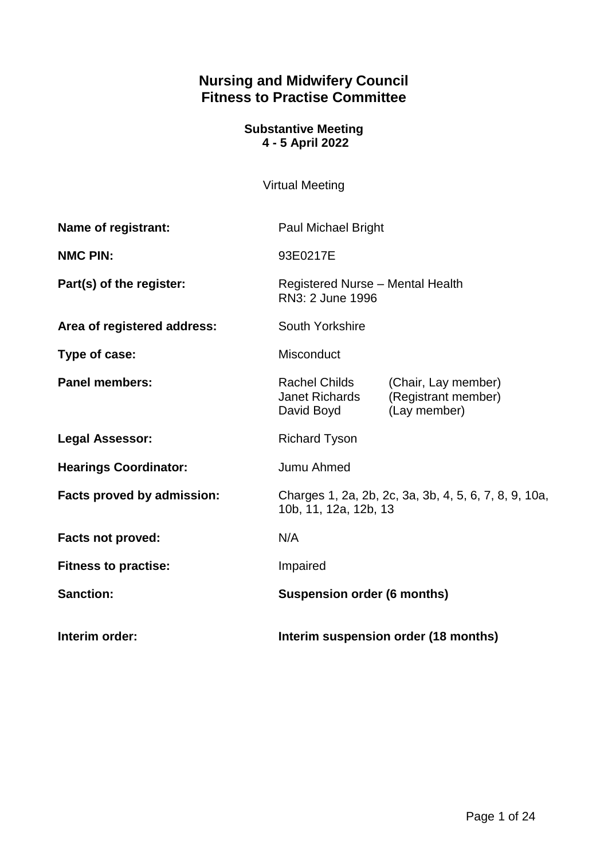# **Nursing and Midwifery Council Fitness to Practise Committee**

### **Substantive Meeting 4 - 5 April 2022**

Virtual Meeting

| Name of registrant:          | <b>Paul Michael Bright</b>                                                     |                                                            |
|------------------------------|--------------------------------------------------------------------------------|------------------------------------------------------------|
| <b>NMC PIN:</b>              | 93E0217E                                                                       |                                                            |
| Part(s) of the register:     | Registered Nurse - Mental Health<br>RN3: 2 June 1996                           |                                                            |
| Area of registered address:  | South Yorkshire                                                                |                                                            |
| Type of case:                | Misconduct                                                                     |                                                            |
| <b>Panel members:</b>        | Rachel Childs<br><b>Janet Richards</b><br>David Boyd                           | (Chair, Lay member)<br>(Registrant member)<br>(Lay member) |
| <b>Legal Assessor:</b>       | <b>Richard Tyson</b>                                                           |                                                            |
| <b>Hearings Coordinator:</b> | Jumu Ahmed                                                                     |                                                            |
| Facts proved by admission:   | Charges 1, 2a, 2b, 2c, 3a, 3b, 4, 5, 6, 7, 8, 9, 10a,<br>10b, 11, 12a, 12b, 13 |                                                            |
| <b>Facts not proved:</b>     | N/A                                                                            |                                                            |
| <b>Fitness to practise:</b>  | Impaired                                                                       |                                                            |
| <b>Sanction:</b>             | <b>Suspension order (6 months)</b>                                             |                                                            |
| Interim order:               | Interim suspension order (18 months)                                           |                                                            |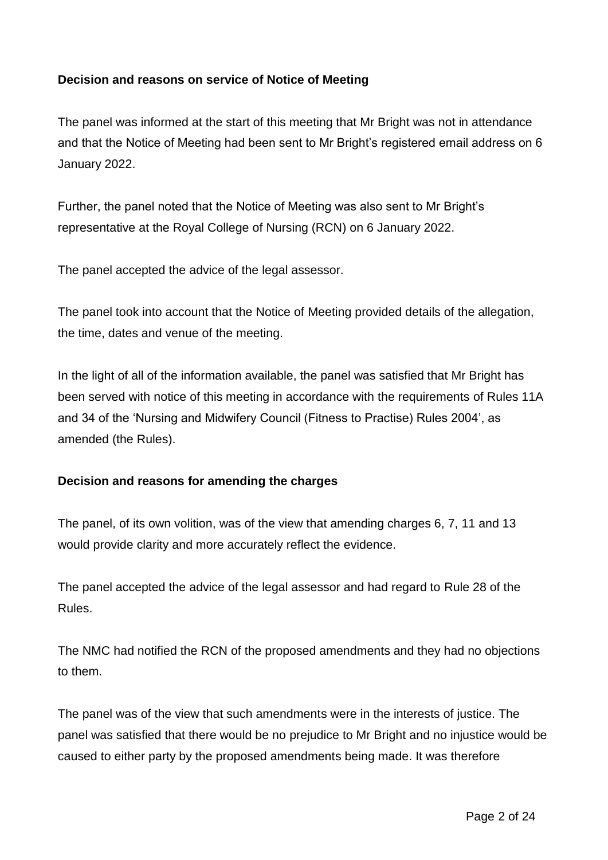# **Decision and reasons on service of Notice of Meeting**

The panel was informed at the start of this meeting that Mr Bright was not in attendance and that the Notice of Meeting had been sent to Mr Bright's registered email address on 6 January 2022.

Further, the panel noted that the Notice of Meeting was also sent to Mr Bright's representative at the Royal College of Nursing (RCN) on 6 January 2022.

The panel accepted the advice of the legal assessor.

The panel took into account that the Notice of Meeting provided details of the allegation, the time, dates and venue of the meeting.

In the light of all of the information available, the panel was satisfied that Mr Bright has been served with notice of this meeting in accordance with the requirements of Rules 11A and 34 of the 'Nursing and Midwifery Council (Fitness to Practise) Rules 2004', as amended (the Rules).

### **Decision and reasons for amending the charges**

The panel, of its own volition, was of the view that amending charges 6, 7, 11 and 13 would provide clarity and more accurately reflect the evidence.

The panel accepted the advice of the legal assessor and had regard to Rule 28 of the Rules.

The NMC had notified the RCN of the proposed amendments and they had no objections to them.

The panel was of the view that such amendments were in the interests of justice. The panel was satisfied that there would be no prejudice to Mr Bright and no injustice would be caused to either party by the proposed amendments being made. It was therefore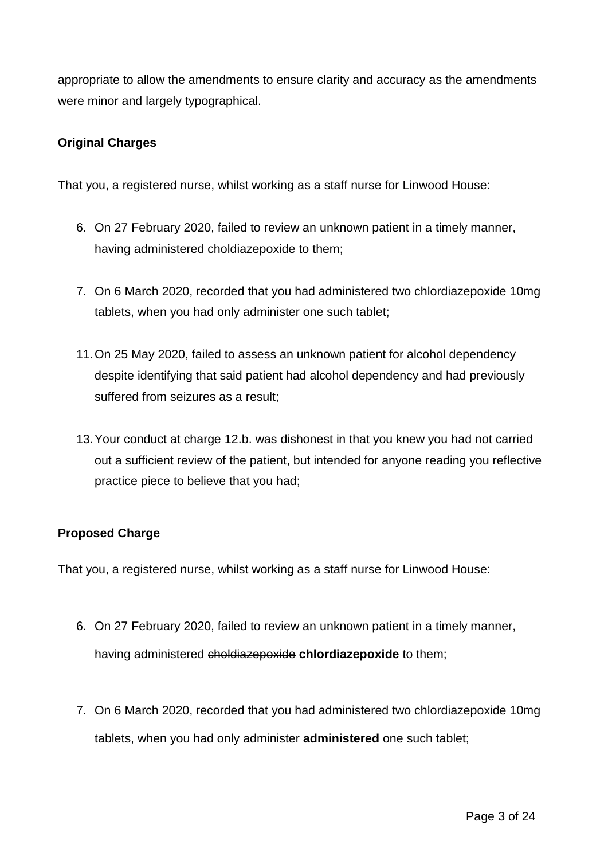appropriate to allow the amendments to ensure clarity and accuracy as the amendments were minor and largely typographical.

### **Original Charges**

That you, a registered nurse, whilst working as a staff nurse for Linwood House:

- 6. On 27 February 2020, failed to review an unknown patient in a timely manner, having administered choldiazepoxide to them;
- 7. On 6 March 2020, recorded that you had administered two chlordiazepoxide 10mg tablets, when you had only administer one such tablet;
- 11.On 25 May 2020, failed to assess an unknown patient for alcohol dependency despite identifying that said patient had alcohol dependency and had previously suffered from seizures as a result;
- 13.Your conduct at charge 12.b. was dishonest in that you knew you had not carried out a sufficient review of the patient, but intended for anyone reading you reflective practice piece to believe that you had;

# **Proposed Charge**

That you, a registered nurse, whilst working as a staff nurse for Linwood House:

- 6. On 27 February 2020, failed to review an unknown patient in a timely manner, having administered choldiazepoxide **chlordiazepoxide** to them;
- 7. On 6 March 2020, recorded that you had administered two chlordiazepoxide 10mg tablets, when you had only administer **administered** one such tablet;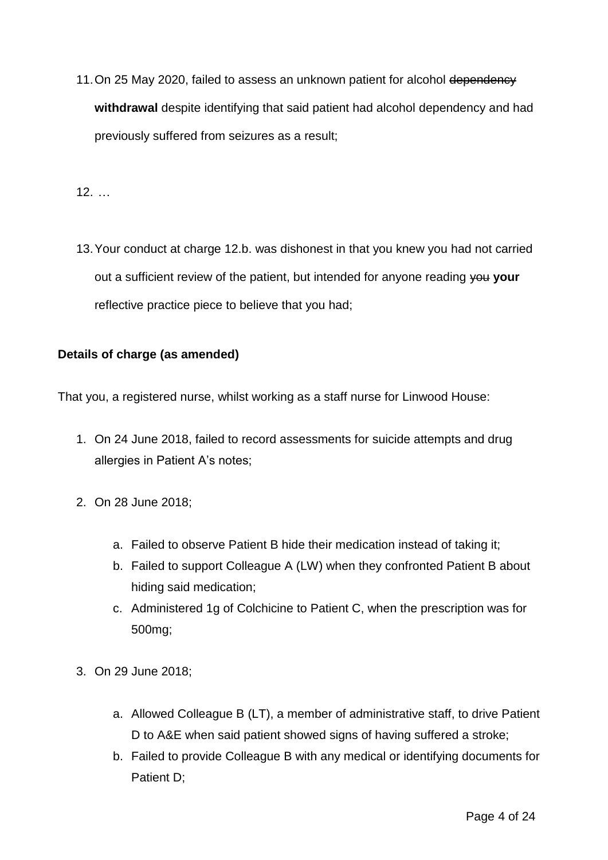11. On 25 May 2020, failed to assess an unknown patient for alcohol dependency **withdrawal** despite identifying that said patient had alcohol dependency and had previously suffered from seizures as a result;

12. …

13.Your conduct at charge 12.b. was dishonest in that you knew you had not carried out a sufficient review of the patient, but intended for anyone reading you your reflective practice piece to believe that you had;

# **Details of charge (as amended)**

That you, a registered nurse, whilst working as a staff nurse for Linwood House:

- 1. On 24 June 2018, failed to record assessments for suicide attempts and drug allergies in Patient A's notes;
- 2. On 28 June 2018;
	- a. Failed to observe Patient B hide their medication instead of taking it;
	- b. Failed to support Colleague A (LW) when they confronted Patient B about hiding said medication;
	- c. Administered 1g of Colchicine to Patient C, when the prescription was for 500mg;
- 3. On 29 June 2018;
	- a. Allowed Colleague B (LT), a member of administrative staff, to drive Patient D to A&E when said patient showed signs of having suffered a stroke;
	- b. Failed to provide Colleague B with any medical or identifying documents for Patient D: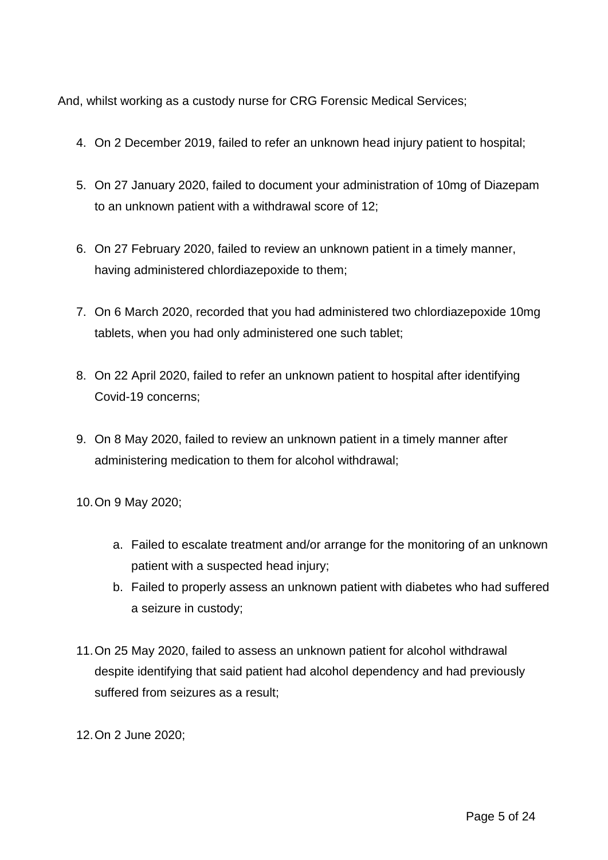And, whilst working as a custody nurse for CRG Forensic Medical Services;

- 4. On 2 December 2019, failed to refer an unknown head injury patient to hospital;
- 5. On 27 January 2020, failed to document your administration of 10mg of Diazepam to an unknown patient with a withdrawal score of 12;
- 6. On 27 February 2020, failed to review an unknown patient in a timely manner, having administered chlordiazepoxide to them;
- 7. On 6 March 2020, recorded that you had administered two chlordiazepoxide 10mg tablets, when you had only administered one such tablet;
- 8. On 22 April 2020, failed to refer an unknown patient to hospital after identifying Covid-19 concerns;
- 9. On 8 May 2020, failed to review an unknown patient in a timely manner after administering medication to them for alcohol withdrawal;

10.On 9 May 2020;

- a. Failed to escalate treatment and/or arrange for the monitoring of an unknown patient with a suspected head injury;
- b. Failed to properly assess an unknown patient with diabetes who had suffered a seizure in custody;
- 11.On 25 May 2020, failed to assess an unknown patient for alcohol withdrawal despite identifying that said patient had alcohol dependency and had previously suffered from seizures as a result;
- 12.On 2 June 2020;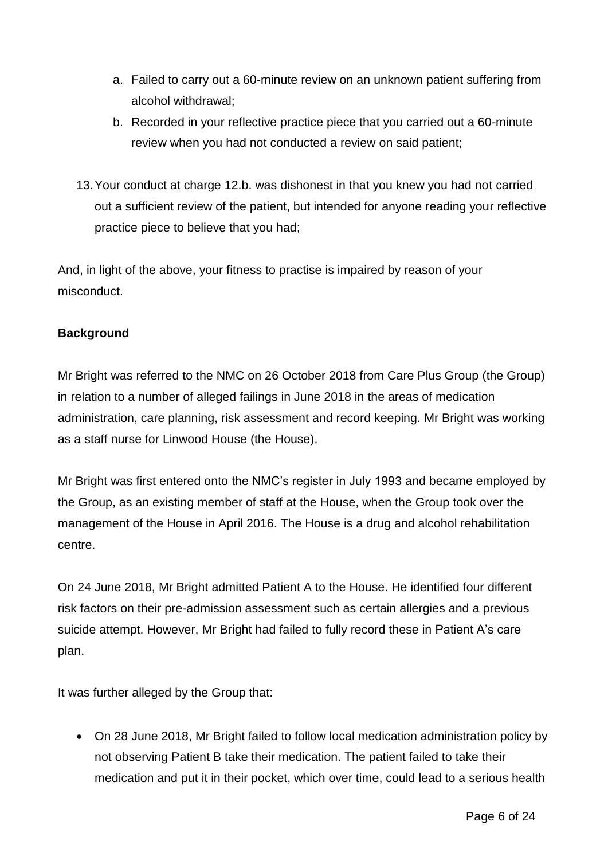- a. Failed to carry out a 60-minute review on an unknown patient suffering from alcohol withdrawal;
- b. Recorded in your reflective practice piece that you carried out a 60-minute review when you had not conducted a review on said patient;
- 13.Your conduct at charge 12.b. was dishonest in that you knew you had not carried out a sufficient review of the patient, but intended for anyone reading your reflective practice piece to believe that you had;

And, in light of the above, your fitness to practise is impaired by reason of your misconduct.

# **Background**

Mr Bright was referred to the NMC on 26 October 2018 from Care Plus Group (the Group) in relation to a number of alleged failings in June 2018 in the areas of medication administration, care planning, risk assessment and record keeping. Mr Bright was working as a staff nurse for Linwood House (the House).

Mr Bright was first entered onto the NMC's register in July 1993 and became employed by the Group, as an existing member of staff at the House, when the Group took over the management of the House in April 2016. The House is a drug and alcohol rehabilitation centre.

On 24 June 2018, Mr Bright admitted Patient A to the House. He identified four different risk factors on their pre-admission assessment such as certain allergies and a previous suicide attempt. However, Mr Bright had failed to fully record these in Patient A's care plan.

It was further alleged by the Group that:

 On 28 June 2018, Mr Bright failed to follow local medication administration policy by not observing Patient B take their medication. The patient failed to take their medication and put it in their pocket, which over time, could lead to a serious health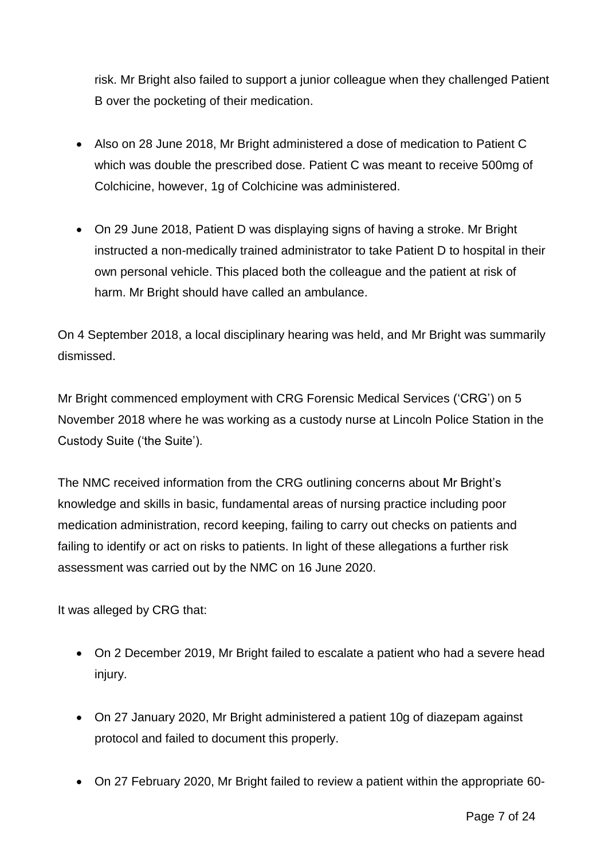risk. Mr Bright also failed to support a junior colleague when they challenged Patient B over the pocketing of their medication.

- Also on 28 June 2018, Mr Bright administered a dose of medication to Patient C which was double the prescribed dose. Patient C was meant to receive 500mg of Colchicine, however, 1g of Colchicine was administered.
- On 29 June 2018, Patient D was displaying signs of having a stroke. Mr Bright instructed a non-medically trained administrator to take Patient D to hospital in their own personal vehicle. This placed both the colleague and the patient at risk of harm. Mr Bright should have called an ambulance.

On 4 September 2018, a local disciplinary hearing was held, and Mr Bright was summarily dismissed.

Mr Bright commenced employment with CRG Forensic Medical Services ('CRG') on 5 November 2018 where he was working as a custody nurse at Lincoln Police Station in the Custody Suite ('the Suite').

The NMC received information from the CRG outlining concerns about Mr Bright's knowledge and skills in basic, fundamental areas of nursing practice including poor medication administration, record keeping, failing to carry out checks on patients and failing to identify or act on risks to patients. In light of these allegations a further risk assessment was carried out by the NMC on 16 June 2020.

It was alleged by CRG that:

- On 2 December 2019, Mr Bright failed to escalate a patient who had a severe head injury.
- On 27 January 2020, Mr Bright administered a patient 10g of diazepam against protocol and failed to document this properly.
- On 27 February 2020, Mr Bright failed to review a patient within the appropriate 60-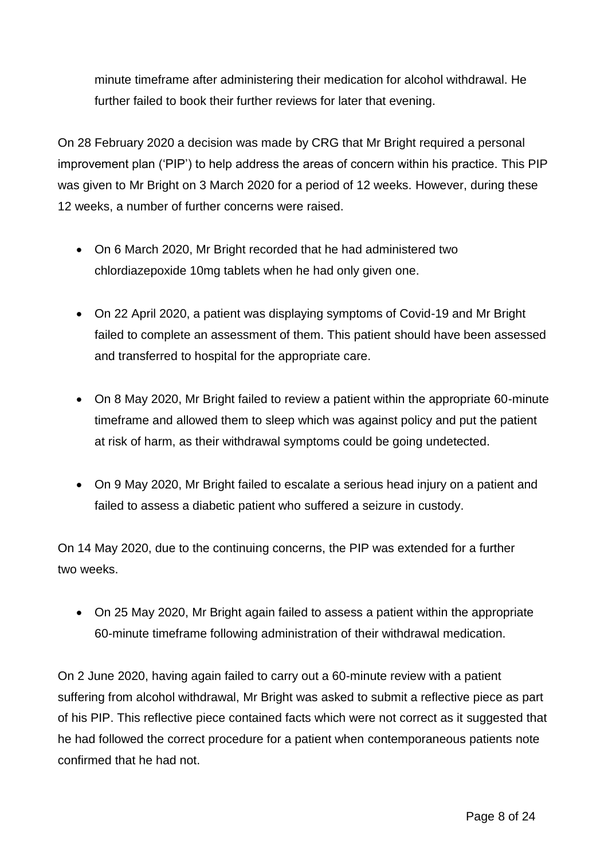minute timeframe after administering their medication for alcohol withdrawal. He further failed to book their further reviews for later that evening.

On 28 February 2020 a decision was made by CRG that Mr Bright required a personal improvement plan ('PIP') to help address the areas of concern within his practice. This PIP was given to Mr Bright on 3 March 2020 for a period of 12 weeks. However, during these 12 weeks, a number of further concerns were raised.

- On 6 March 2020, Mr Bright recorded that he had administered two chlordiazepoxide 10mg tablets when he had only given one.
- On 22 April 2020, a patient was displaying symptoms of Covid-19 and Mr Bright failed to complete an assessment of them. This patient should have been assessed and transferred to hospital for the appropriate care.
- On 8 May 2020, Mr Bright failed to review a patient within the appropriate 60-minute timeframe and allowed them to sleep which was against policy and put the patient at risk of harm, as their withdrawal symptoms could be going undetected.
- On 9 May 2020, Mr Bright failed to escalate a serious head injury on a patient and failed to assess a diabetic patient who suffered a seizure in custody.

On 14 May 2020, due to the continuing concerns, the PIP was extended for a further two weeks.

 On 25 May 2020, Mr Bright again failed to assess a patient within the appropriate 60-minute timeframe following administration of their withdrawal medication.

On 2 June 2020, having again failed to carry out a 60-minute review with a patient suffering from alcohol withdrawal, Mr Bright was asked to submit a reflective piece as part of his PIP. This reflective piece contained facts which were not correct as it suggested that he had followed the correct procedure for a patient when contemporaneous patients note confirmed that he had not.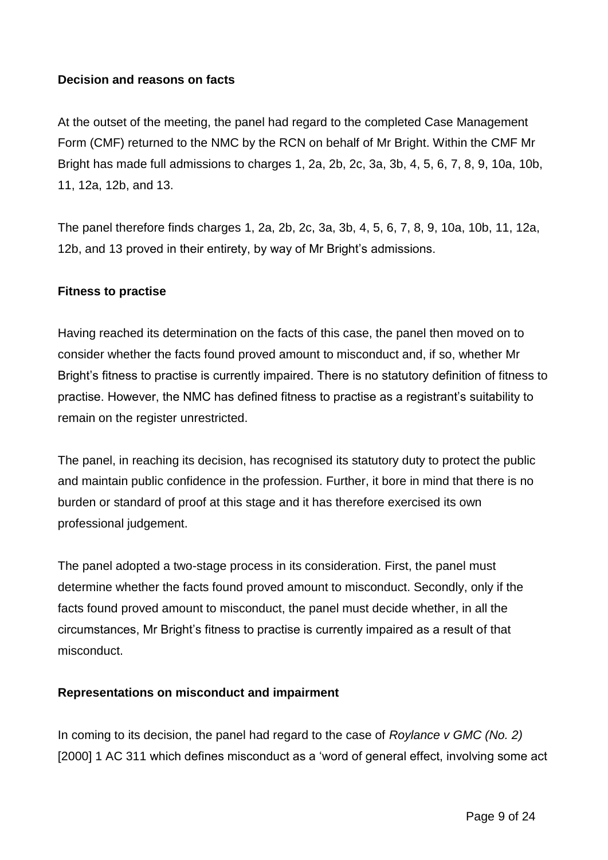### **Decision and reasons on facts**

At the outset of the meeting, the panel had regard to the completed Case Management Form (CMF) returned to the NMC by the RCN on behalf of Mr Bright. Within the CMF Mr Bright has made full admissions to charges 1, 2a, 2b, 2c, 3a, 3b, 4, 5, 6, 7, 8, 9, 10a, 10b, 11, 12a, 12b, and 13.

The panel therefore finds charges 1, 2a, 2b, 2c, 3a, 3b, 4, 5, 6, 7, 8, 9, 10a, 10b, 11, 12a, 12b, and 13 proved in their entirety, by way of Mr Bright's admissions.

### **Fitness to practise**

Having reached its determination on the facts of this case, the panel then moved on to consider whether the facts found proved amount to misconduct and, if so, whether Mr Bright's fitness to practise is currently impaired. There is no statutory definition of fitness to practise. However, the NMC has defined fitness to practise as a registrant's suitability to remain on the register unrestricted.

The panel, in reaching its decision, has recognised its statutory duty to protect the public and maintain public confidence in the profession. Further, it bore in mind that there is no burden or standard of proof at this stage and it has therefore exercised its own professional judgement.

The panel adopted a two-stage process in its consideration. First, the panel must determine whether the facts found proved amount to misconduct. Secondly, only if the facts found proved amount to misconduct, the panel must decide whether, in all the circumstances, Mr Bright's fitness to practise is currently impaired as a result of that misconduct.

### **Representations on misconduct and impairment**

In coming to its decision, the panel had regard to the case of *Roylance v GMC (No. 2)*  [2000] 1 AC 311 which defines misconduct as a 'word of general effect, involving some act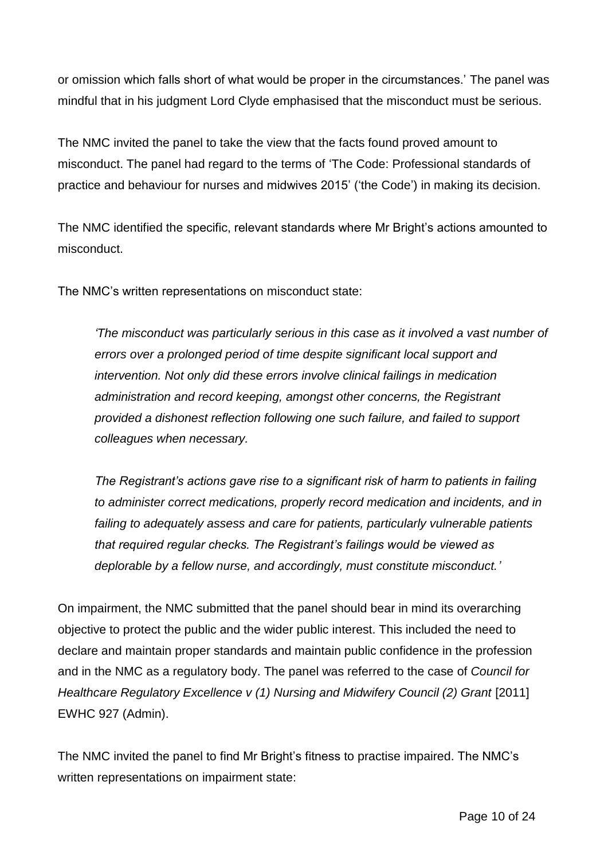or omission which falls short of what would be proper in the circumstances.' The panel was mindful that in his judgment Lord Clyde emphasised that the misconduct must be serious.

The NMC invited the panel to take the view that the facts found proved amount to misconduct. The panel had regard to the terms of 'The Code: Professional standards of practice and behaviour for nurses and midwives 2015' ('the Code') in making its decision.

The NMC identified the specific, relevant standards where Mr Bright's actions amounted to misconduct.

The NMC's written representations on misconduct state:

*'The misconduct was particularly serious in this case as it involved a vast number of errors over a prolonged period of time despite significant local support and intervention. Not only did these errors involve clinical failings in medication administration and record keeping, amongst other concerns, the Registrant provided a dishonest reflection following one such failure, and failed to support colleagues when necessary.*

*The Registrant's actions gave rise to a significant risk of harm to patients in failing to administer correct medications, properly record medication and incidents, and in failing to adequately assess and care for patients, particularly vulnerable patients that required regular checks. The Registrant's failings would be viewed as deplorable by a fellow nurse, and accordingly, must constitute misconduct.'*

On impairment, the NMC submitted that the panel should bear in mind its overarching objective to protect the public and the wider public interest. This included the need to declare and maintain proper standards and maintain public confidence in the profession and in the NMC as a regulatory body. The panel was referred to the case of *Council for Healthcare Regulatory Excellence v (1) Nursing and Midwifery Council (2) Grant [2011]* EWHC 927 (Admin).

The NMC invited the panel to find Mr Bright's fitness to practise impaired. The NMC's written representations on impairment state: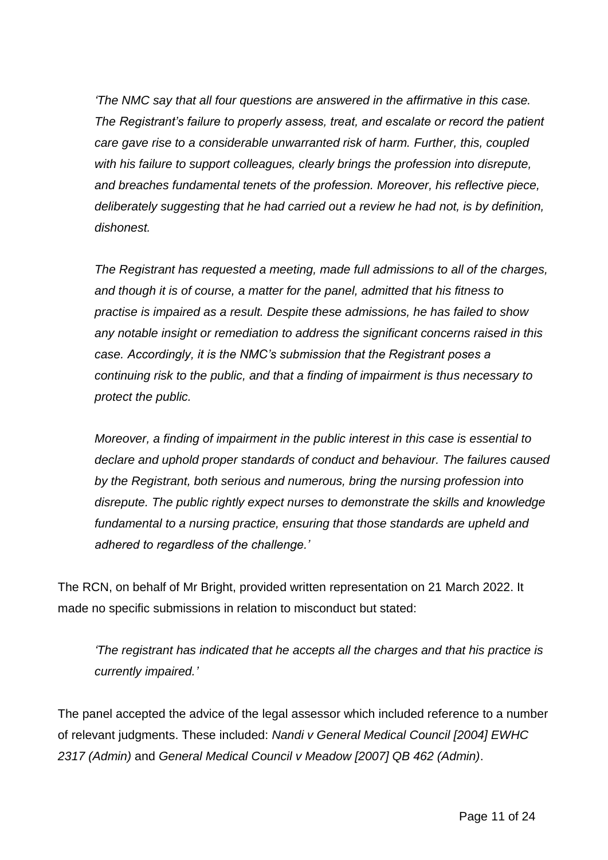*'The NMC say that all four questions are answered in the affirmative in this case. The Registrant's failure to properly assess, treat, and escalate or record the patient care gave rise to a considerable unwarranted risk of harm. Further, this, coupled with his failure to support colleagues, clearly brings the profession into disrepute, and breaches fundamental tenets of the profession. Moreover, his reflective piece, deliberately suggesting that he had carried out a review he had not, is by definition, dishonest.*

*The Registrant has requested a meeting, made full admissions to all of the charges, and though it is of course, a matter for the panel, admitted that his fitness to practise is impaired as a result. Despite these admissions, he has failed to show any notable insight or remediation to address the significant concerns raised in this case. Accordingly, it is the NMC's submission that the Registrant poses a continuing risk to the public, and that a finding of impairment is thus necessary to protect the public.*

*Moreover, a finding of impairment in the public interest in this case is essential to declare and uphold proper standards of conduct and behaviour. The failures caused by the Registrant, both serious and numerous, bring the nursing profession into disrepute. The public rightly expect nurses to demonstrate the skills and knowledge fundamental to a nursing practice, ensuring that those standards are upheld and adhered to regardless of the challenge.'*

The RCN, on behalf of Mr Bright, provided written representation on 21 March 2022. It made no specific submissions in relation to misconduct but stated:

*'The registrant has indicated that he accepts all the charges and that his practice is currently impaired.'*

The panel accepted the advice of the legal assessor which included reference to a number of relevant judgments. These included: *Nandi v General Medical Council [2004] EWHC 2317 (Admin)* and *General Medical Council v Meadow [2007] QB 462 (Admin)*.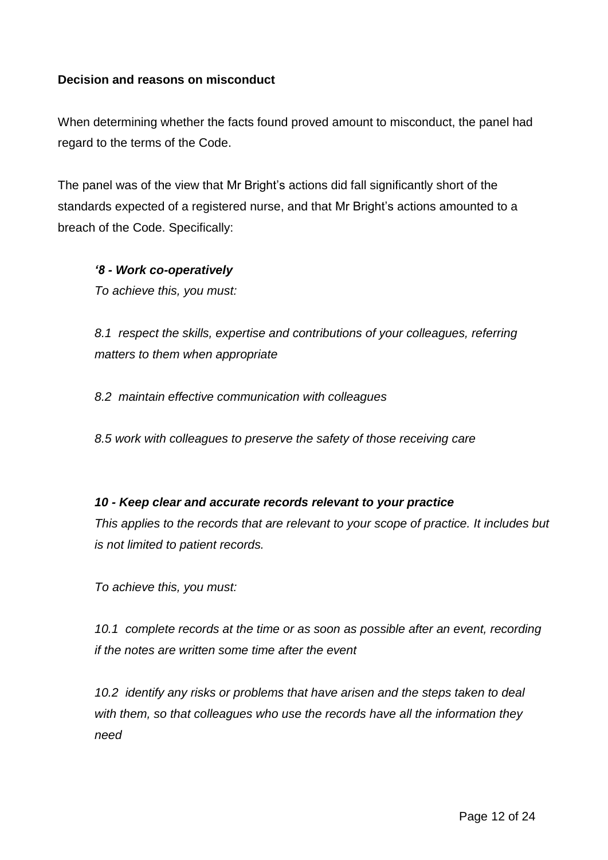### **Decision and reasons on misconduct**

When determining whether the facts found proved amount to misconduct, the panel had regard to the terms of the Code.

The panel was of the view that Mr Bright's actions did fall significantly short of the standards expected of a registered nurse, and that Mr Bright's actions amounted to a breach of the Code. Specifically:

*'8 - Work co-operatively* 

*To achieve this, you must:* 

*8.1 respect the skills, expertise and contributions of your colleagues, referring matters to them when appropriate* 

*8.2 maintain effective communication with colleagues* 

*8.5 work with colleagues to preserve the safety of those receiving care*

### *10 - Keep clear and accurate records relevant to your practice*

*This applies to the records that are relevant to your scope of practice. It includes but is not limited to patient records.* 

*To achieve this, you must:* 

*10.1 complete records at the time or as soon as possible after an event, recording if the notes are written some time after the event* 

*10.2 identify any risks or problems that have arisen and the steps taken to deal with them, so that colleagues who use the records have all the information they need*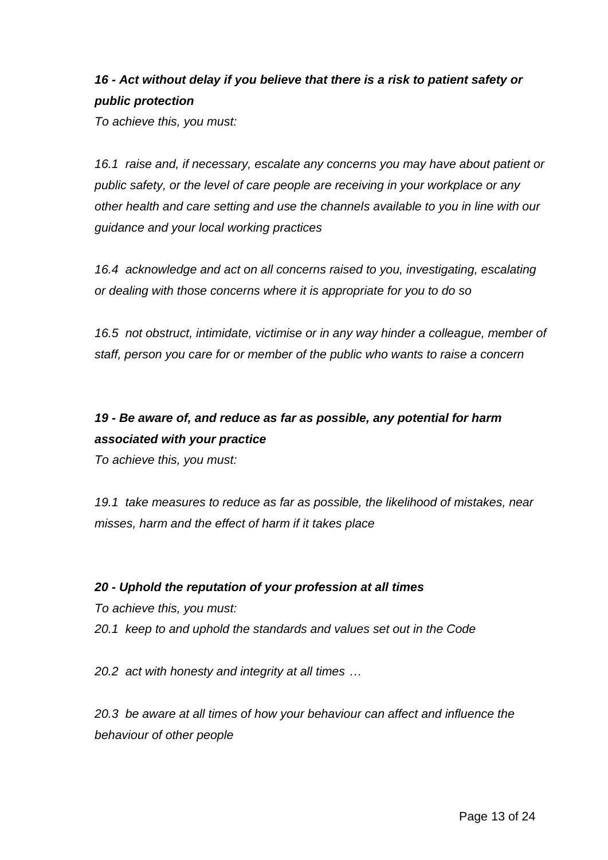# *16 - Act without delay if you believe that there is a risk to patient safety or public protection*

*To achieve this, you must:* 

*16.1 raise and, if necessary, escalate any concerns you may have about patient or public safety, or the level of care people are receiving in your workplace or any other health and care setting and use the channels available to you in line with our guidance and your local working practices* 

*16.4 acknowledge and act on all concerns raised to you, investigating, escalating or dealing with those concerns where it is appropriate for you to do so* 

*16.5 not obstruct, intimidate, victimise or in any way hinder a colleague, member of staff, person you care for or member of the public who wants to raise a concern* 

# *19 - Be aware of, and reduce as far as possible, any potential for harm associated with your practice*

*To achieve this, you must:* 

*19.1 take measures to reduce as far as possible, the likelihood of mistakes, near misses, harm and the effect of harm if it takes place* 

# *20 - Uphold the reputation of your profession at all times*

*To achieve this, you must:* 

*20.1 keep to and uphold the standards and values set out in the Code* 

*20.2 act with honesty and integrity at all times …* 

*20.3 be aware at all times of how your behaviour can affect and influence the behaviour of other people*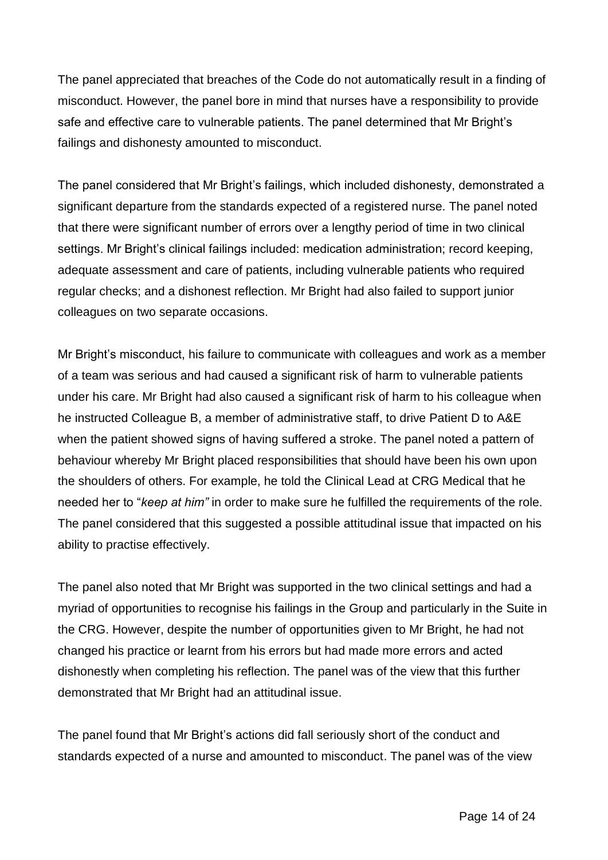The panel appreciated that breaches of the Code do not automatically result in a finding of misconduct. However, the panel bore in mind that nurses have a responsibility to provide safe and effective care to vulnerable patients. The panel determined that Mr Bright's failings and dishonesty amounted to misconduct.

The panel considered that Mr Bright's failings, which included dishonesty, demonstrated a significant departure from the standards expected of a registered nurse. The panel noted that there were significant number of errors over a lengthy period of time in two clinical settings. Mr Bright's clinical failings included: medication administration; record keeping, adequate assessment and care of patients, including vulnerable patients who required regular checks; and a dishonest reflection. Mr Bright had also failed to support junior colleagues on two separate occasions.

Mr Bright's misconduct, his failure to communicate with colleagues and work as a member of a team was serious and had caused a significant risk of harm to vulnerable patients under his care. Mr Bright had also caused a significant risk of harm to his colleague when he instructed Colleague B, a member of administrative staff, to drive Patient D to A&E when the patient showed signs of having suffered a stroke. The panel noted a pattern of behaviour whereby Mr Bright placed responsibilities that should have been his own upon the shoulders of others. For example, he told the Clinical Lead at CRG Medical that he needed her to "*keep at him"* in order to make sure he fulfilled the requirements of the role. The panel considered that this suggested a possible attitudinal issue that impacted on his ability to practise effectively.

The panel also noted that Mr Bright was supported in the two clinical settings and had a myriad of opportunities to recognise his failings in the Group and particularly in the Suite in the CRG. However, despite the number of opportunities given to Mr Bright, he had not changed his practice or learnt from his errors but had made more errors and acted dishonestly when completing his reflection. The panel was of the view that this further demonstrated that Mr Bright had an attitudinal issue.

The panel found that Mr Bright's actions did fall seriously short of the conduct and standards expected of a nurse and amounted to misconduct. The panel was of the view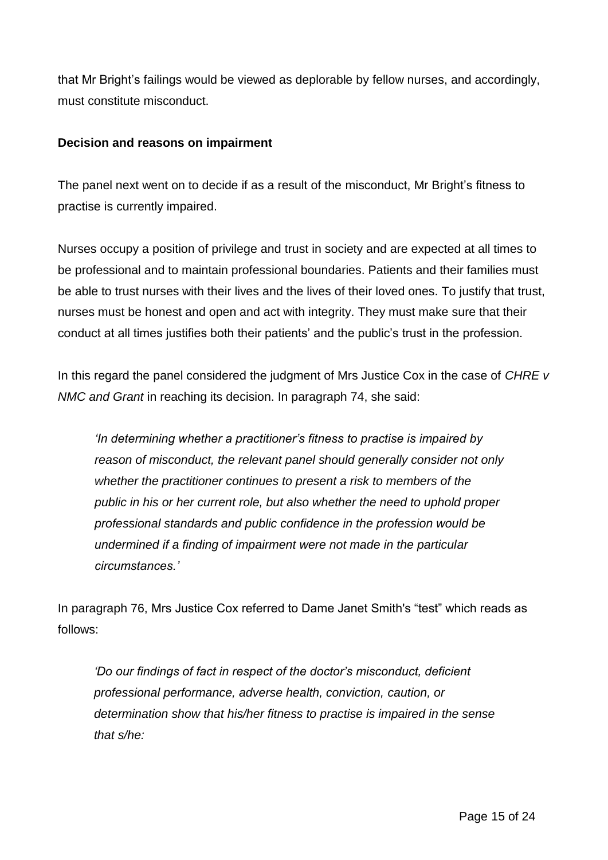that Mr Bright's failings would be viewed as deplorable by fellow nurses, and accordingly, must constitute misconduct.

### **Decision and reasons on impairment**

The panel next went on to decide if as a result of the misconduct, Mr Bright's fitness to practise is currently impaired.

Nurses occupy a position of privilege and trust in society and are expected at all times to be professional and to maintain professional boundaries. Patients and their families must be able to trust nurses with their lives and the lives of their loved ones. To justify that trust, nurses must be honest and open and act with integrity. They must make sure that their conduct at all times justifies both their patients' and the public's trust in the profession.

In this regard the panel considered the judgment of Mrs Justice Cox in the case of *CHRE v NMC and Grant* in reaching its decision. In paragraph 74, she said:

*'In determining whether a practitioner's fitness to practise is impaired by reason of misconduct, the relevant panel should generally consider not only whether the practitioner continues to present a risk to members of the public in his or her current role, but also whether the need to uphold proper professional standards and public confidence in the profession would be undermined if a finding of impairment were not made in the particular circumstances.'*

In paragraph 76, Mrs Justice Cox referred to Dame Janet Smith's "test" which reads as follows:

*'Do our findings of fact in respect of the doctor's misconduct, deficient professional performance, adverse health, conviction, caution, or determination show that his/her fitness to practise is impaired in the sense that s/he:*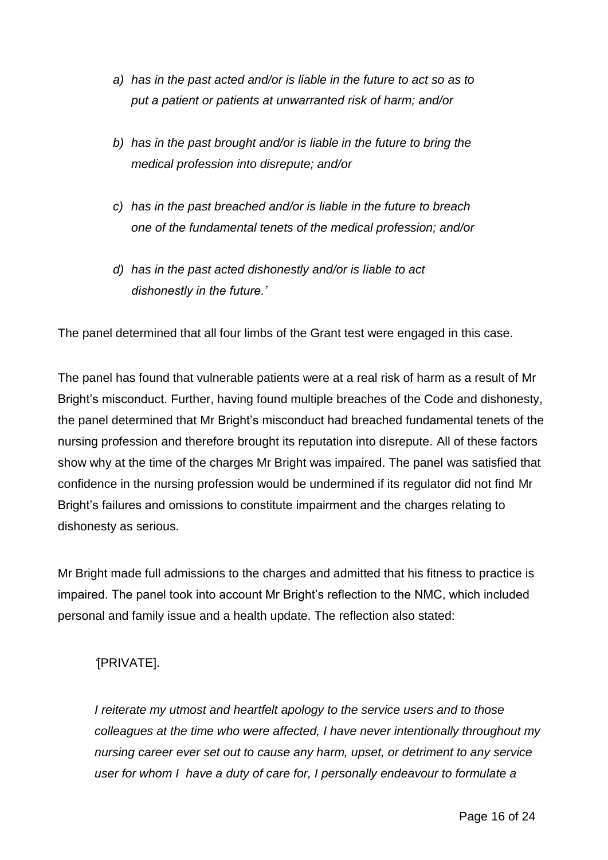- *a) has in the past acted and/or is liable in the future to act so as to put a patient or patients at unwarranted risk of harm; and/or*
- *b) has in the past brought and/or is liable in the future to bring the medical profession into disrepute; and/or*
- *c) has in the past breached and/or is liable in the future to breach one of the fundamental tenets of the medical profession; and/or*
- *d) has in the past acted dishonestly and/or is liable to act dishonestly in the future.'*

The panel determined that all four limbs of the Grant test were engaged in this case.

The panel has found that vulnerable patients were at a real risk of harm as a result of Mr Bright's misconduct. Further, having found multiple breaches of the Code and dishonesty, the panel determined that Mr Bright's misconduct had breached fundamental tenets of the nursing profession and therefore brought its reputation into disrepute. All of these factors show why at the time of the charges Mr Bright was impaired. The panel was satisfied that confidence in the nursing profession would be undermined if its regulator did not find Mr Bright's failures and omissions to constitute impairment and the charges relating to dishonesty as serious.

Mr Bright made full admissions to the charges and admitted that his fitness to practice is impaired. The panel took into account Mr Bright's reflection to the NMC, which included personal and family issue and a health update. The reflection also stated:

# *'*[PRIVATE].

*I reiterate my utmost and heartfelt apology to the service users and to those colleagues at the time who were affected, I have never intentionally throughout my nursing career ever set out to cause any harm, upset, or detriment to any service user for whom I have a duty of care for, I personally endeavour to formulate a*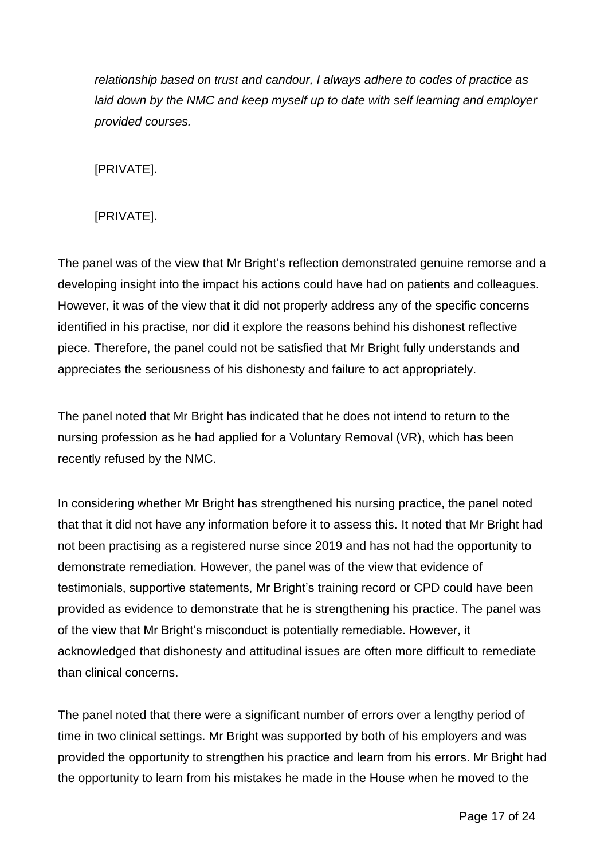*relationship based on trust and candour, I always adhere to codes of practice as laid down by the NMC and keep myself up to date with self learning and employer provided courses.*

[PRIVATE].

[PRIVATE].

The panel was of the view that Mr Bright's reflection demonstrated genuine remorse and a developing insight into the impact his actions could have had on patients and colleagues. However, it was of the view that it did not properly address any of the specific concerns identified in his practise, nor did it explore the reasons behind his dishonest reflective piece. Therefore, the panel could not be satisfied that Mr Bright fully understands and appreciates the seriousness of his dishonesty and failure to act appropriately.

The panel noted that Mr Bright has indicated that he does not intend to return to the nursing profession as he had applied for a Voluntary Removal (VR), which has been recently refused by the NMC.

In considering whether Mr Bright has strengthened his nursing practice, the panel noted that that it did not have any information before it to assess this. It noted that Mr Bright had not been practising as a registered nurse since 2019 and has not had the opportunity to demonstrate remediation. However, the panel was of the view that evidence of testimonials, supportive statements, Mr Bright's training record or CPD could have been provided as evidence to demonstrate that he is strengthening his practice. The panel was of the view that Mr Bright's misconduct is potentially remediable. However, it acknowledged that dishonesty and attitudinal issues are often more difficult to remediate than clinical concerns.

The panel noted that there were a significant number of errors over a lengthy period of time in two clinical settings. Mr Bright was supported by both of his employers and was provided the opportunity to strengthen his practice and learn from his errors. Mr Bright had the opportunity to learn from his mistakes he made in the House when he moved to the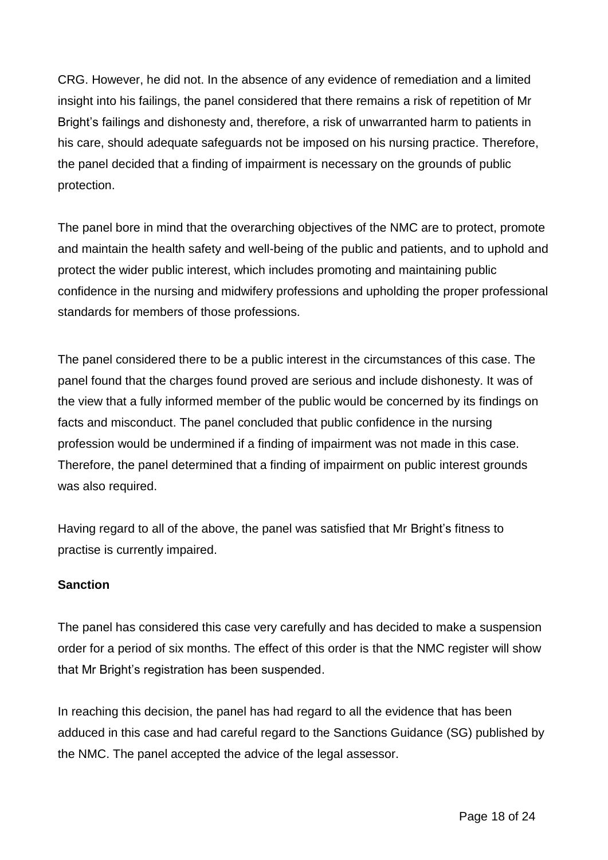CRG. However, he did not. In the absence of any evidence of remediation and a limited insight into his failings, the panel considered that there remains a risk of repetition of Mr Bright's failings and dishonesty and, therefore, a risk of unwarranted harm to patients in his care, should adequate safeguards not be imposed on his nursing practice. Therefore, the panel decided that a finding of impairment is necessary on the grounds of public protection.

The panel bore in mind that the overarching objectives of the NMC are to protect, promote and maintain the health safety and well-being of the public and patients, and to uphold and protect the wider public interest, which includes promoting and maintaining public confidence in the nursing and midwifery professions and upholding the proper professional standards for members of those professions.

The panel considered there to be a public interest in the circumstances of this case. The panel found that the charges found proved are serious and include dishonesty. It was of the view that a fully informed member of the public would be concerned by its findings on facts and misconduct. The panel concluded that public confidence in the nursing profession would be undermined if a finding of impairment was not made in this case. Therefore, the panel determined that a finding of impairment on public interest grounds was also required.

Having regard to all of the above, the panel was satisfied that Mr Bright's fitness to practise is currently impaired.

# **Sanction**

The panel has considered this case very carefully and has decided to make a suspension order for a period of six months. The effect of this order is that the NMC register will show that Mr Bright's registration has been suspended.

In reaching this decision, the panel has had regard to all the evidence that has been adduced in this case and had careful regard to the Sanctions Guidance (SG) published by the NMC. The panel accepted the advice of the legal assessor.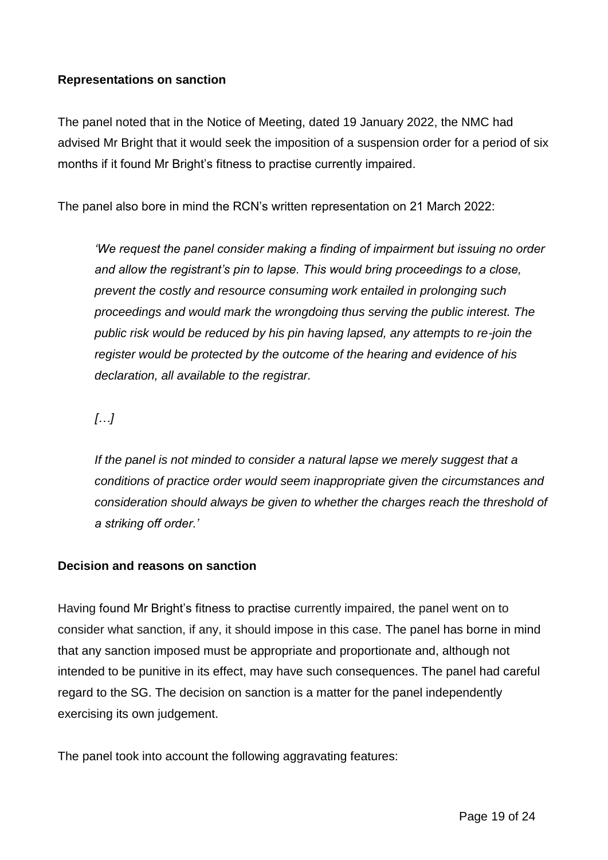### **Representations on sanction**

The panel noted that in the Notice of Meeting, dated 19 January 2022, the NMC had advised Mr Bright that it would seek the imposition of a suspension order for a period of six months if it found Mr Bright's fitness to practise currently impaired.

The panel also bore in mind the RCN's written representation on 21 March 2022:

*'We request the panel consider making a finding of impairment but issuing no order and allow the registrant's pin to lapse. This would bring proceedings to a close, prevent the costly and resource consuming work entailed in prolonging such proceedings and would mark the wrongdoing thus serving the public interest. The public risk would be reduced by his pin having lapsed, any attempts to re-join the register would be protected by the outcome of the hearing and evidence of his declaration, all available to the registrar.*

*[…]*

If the panel is not minded to consider a natural lapse we merely suggest that a *conditions of practice order would seem inappropriate given the circumstances and consideration should always be given to whether the charges reach the threshold of a striking off order.'*

### **Decision and reasons on sanction**

Having found Mr Bright's fitness to practise currently impaired, the panel went on to consider what sanction, if any, it should impose in this case. The panel has borne in mind that any sanction imposed must be appropriate and proportionate and, although not intended to be punitive in its effect, may have such consequences. The panel had careful regard to the SG. The decision on sanction is a matter for the panel independently exercising its own judgement.

The panel took into account the following aggravating features: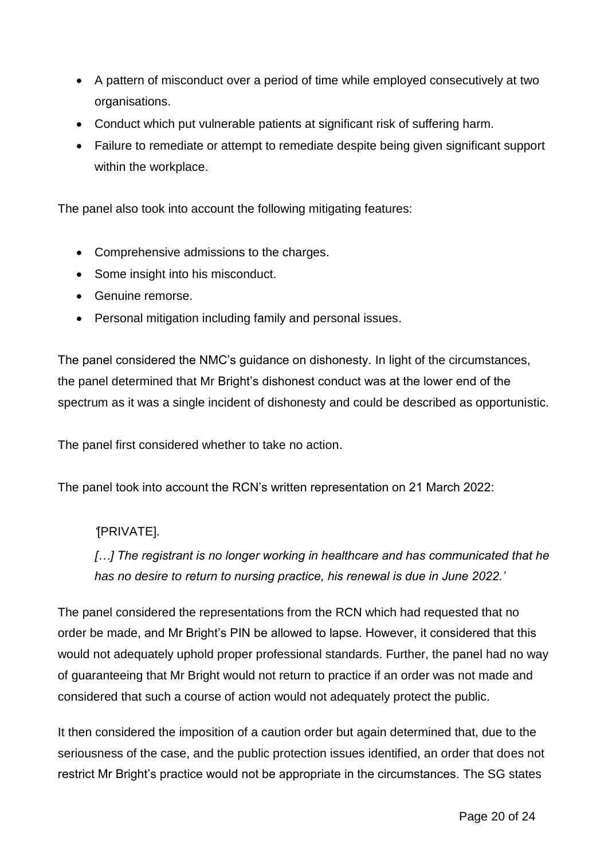- A pattern of misconduct over a period of time while employed consecutively at two organisations.
- Conduct which put vulnerable patients at significant risk of suffering harm.
- Failure to remediate or attempt to remediate despite being given significant support within the workplace.

The panel also took into account the following mitigating features:

- Comprehensive admissions to the charges.
- Some insight into his misconduct.
- Genuine remorse.
- Personal mitigation including family and personal issues.

The panel considered the NMC's guidance on dishonesty. In light of the circumstances, the panel determined that Mr Bright's dishonest conduct was at the lower end of the spectrum as it was a single incident of dishonesty and could be described as opportunistic.

The panel first considered whether to take no action.

The panel took into account the RCN's written representation on 21 March 2022:

# *'*[PRIVATE].

*[…] The registrant is no longer working in healthcare and has communicated that he has no desire to return to nursing practice, his renewal is due in June 2022.'*

The panel considered the representations from the RCN which had requested that no order be made, and Mr Bright's PIN be allowed to lapse. However, it considered that this would not adequately uphold proper professional standards. Further, the panel had no way of guaranteeing that Mr Bright would not return to practice if an order was not made and considered that such a course of action would not adequately protect the public.

It then considered the imposition of a caution order but again determined that, due to the seriousness of the case, and the public protection issues identified, an order that does not restrict Mr Bright's practice would not be appropriate in the circumstances. The SG states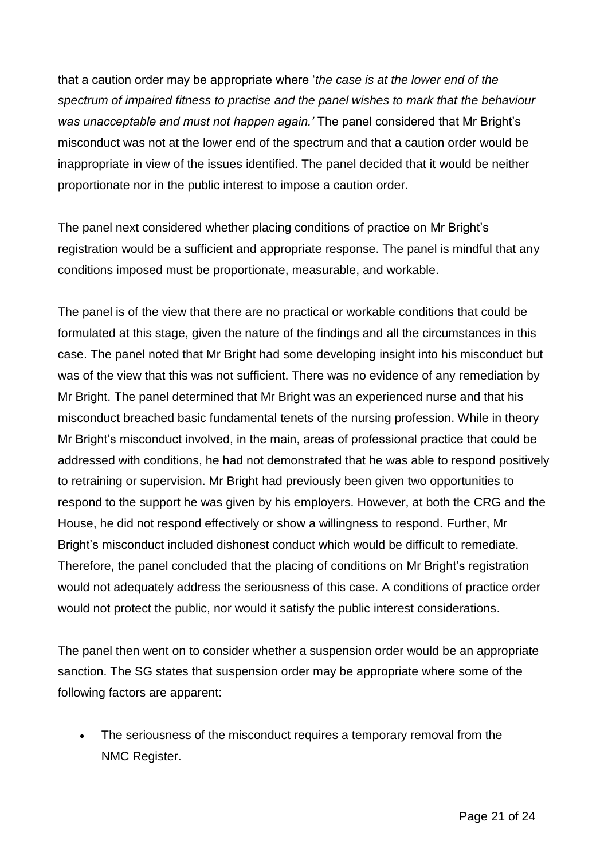that a caution order may be appropriate where '*the case is at the lower end of the spectrum of impaired fitness to practise and the panel wishes to mark that the behaviour was unacceptable and must not happen again.'* The panel considered that Mr Bright's misconduct was not at the lower end of the spectrum and that a caution order would be inappropriate in view of the issues identified. The panel decided that it would be neither proportionate nor in the public interest to impose a caution order.

The panel next considered whether placing conditions of practice on Mr Bright's registration would be a sufficient and appropriate response. The panel is mindful that any conditions imposed must be proportionate, measurable, and workable.

The panel is of the view that there are no practical or workable conditions that could be formulated at this stage, given the nature of the findings and all the circumstances in this case. The panel noted that Mr Bright had some developing insight into his misconduct but was of the view that this was not sufficient. There was no evidence of any remediation by Mr Bright. The panel determined that Mr Bright was an experienced nurse and that his misconduct breached basic fundamental tenets of the nursing profession. While in theory Mr Bright's misconduct involved, in the main, areas of professional practice that could be addressed with conditions, he had not demonstrated that he was able to respond positively to retraining or supervision. Mr Bright had previously been given two opportunities to respond to the support he was given by his employers. However, at both the CRG and the House, he did not respond effectively or show a willingness to respond. Further, Mr Bright's misconduct included dishonest conduct which would be difficult to remediate. Therefore, the panel concluded that the placing of conditions on Mr Bright's registration would not adequately address the seriousness of this case. A conditions of practice order would not protect the public, nor would it satisfy the public interest considerations.

The panel then went on to consider whether a suspension order would be an appropriate sanction. The SG states that suspension order may be appropriate where some of the following factors are apparent:

 The seriousness of the misconduct requires a temporary removal from the NMC Register.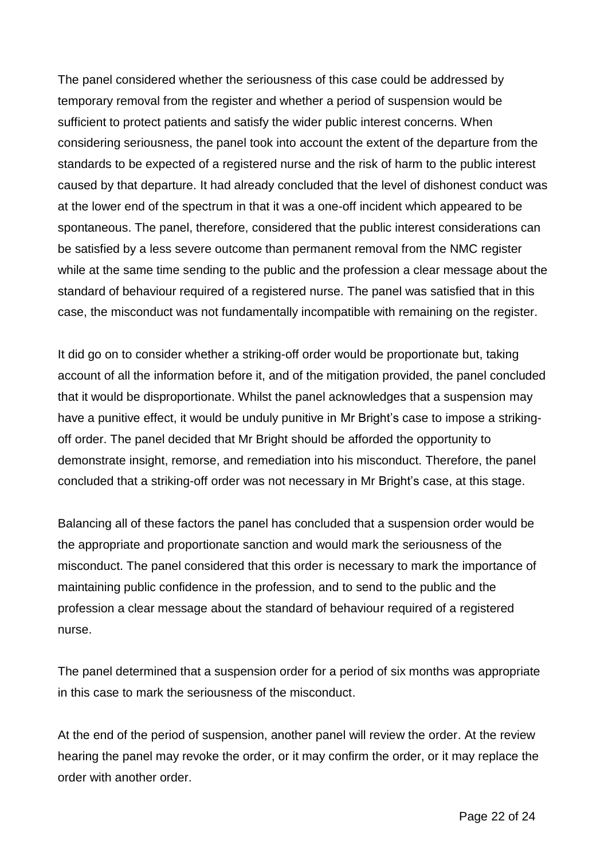The panel considered whether the seriousness of this case could be addressed by temporary removal from the register and whether a period of suspension would be sufficient to protect patients and satisfy the wider public interest concerns. When considering seriousness, the panel took into account the extent of the departure from the standards to be expected of a registered nurse and the risk of harm to the public interest caused by that departure. It had already concluded that the level of dishonest conduct was at the lower end of the spectrum in that it was a one-off incident which appeared to be spontaneous. The panel, therefore, considered that the public interest considerations can be satisfied by a less severe outcome than permanent removal from the NMC register while at the same time sending to the public and the profession a clear message about the standard of behaviour required of a registered nurse. The panel was satisfied that in this case, the misconduct was not fundamentally incompatible with remaining on the register.

It did go on to consider whether a striking-off order would be proportionate but, taking account of all the information before it, and of the mitigation provided, the panel concluded that it would be disproportionate. Whilst the panel acknowledges that a suspension may have a punitive effect, it would be unduly punitive in Mr Bright's case to impose a strikingoff order. The panel decided that Mr Bright should be afforded the opportunity to demonstrate insight, remorse, and remediation into his misconduct. Therefore, the panel concluded that a striking-off order was not necessary in Mr Bright's case, at this stage.

Balancing all of these factors the panel has concluded that a suspension order would be the appropriate and proportionate sanction and would mark the seriousness of the misconduct. The panel considered that this order is necessary to mark the importance of maintaining public confidence in the profession, and to send to the public and the profession a clear message about the standard of behaviour required of a registered nurse.

The panel determined that a suspension order for a period of six months was appropriate in this case to mark the seriousness of the misconduct.

At the end of the period of suspension, another panel will review the order. At the review hearing the panel may revoke the order, or it may confirm the order, or it may replace the order with another order.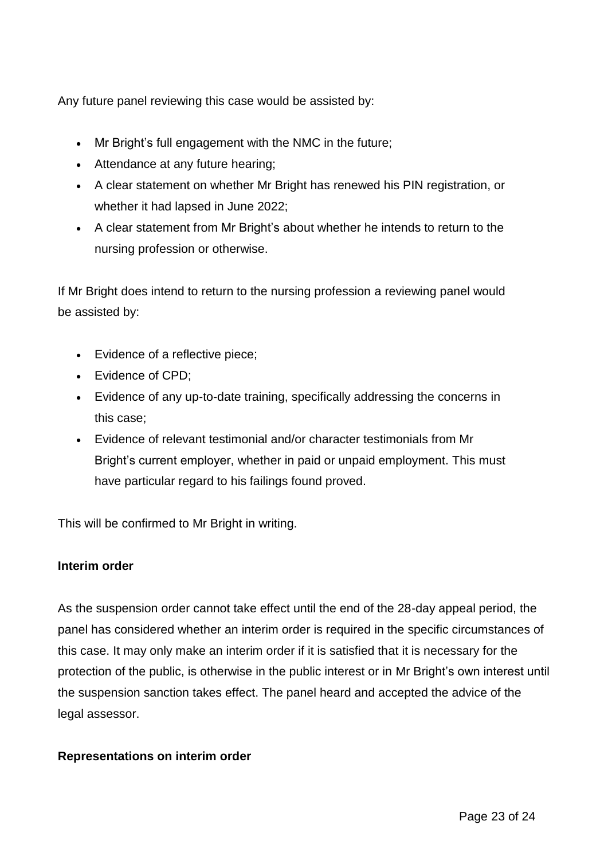Any future panel reviewing this case would be assisted by:

- Mr Bright's full engagement with the NMC in the future;
- Attendance at any future hearing;
- A clear statement on whether Mr Bright has renewed his PIN registration, or whether it had lapsed in June 2022;
- A clear statement from Mr Bright's about whether he intends to return to the nursing profession or otherwise.

If Mr Bright does intend to return to the nursing profession a reviewing panel would be assisted by:

- Evidence of a reflective piece:
- Evidence of CPD:
- Evidence of any up-to-date training, specifically addressing the concerns in this case;
- Evidence of relevant testimonial and/or character testimonials from Mr Bright's current employer, whether in paid or unpaid employment. This must have particular regard to his failings found proved.

This will be confirmed to Mr Bright in writing.

### **Interim order**

As the suspension order cannot take effect until the end of the 28-day appeal period, the panel has considered whether an interim order is required in the specific circumstances of this case. It may only make an interim order if it is satisfied that it is necessary for the protection of the public, is otherwise in the public interest or in Mr Bright's own interest until the suspension sanction takes effect. The panel heard and accepted the advice of the legal assessor.

### **Representations on interim order**